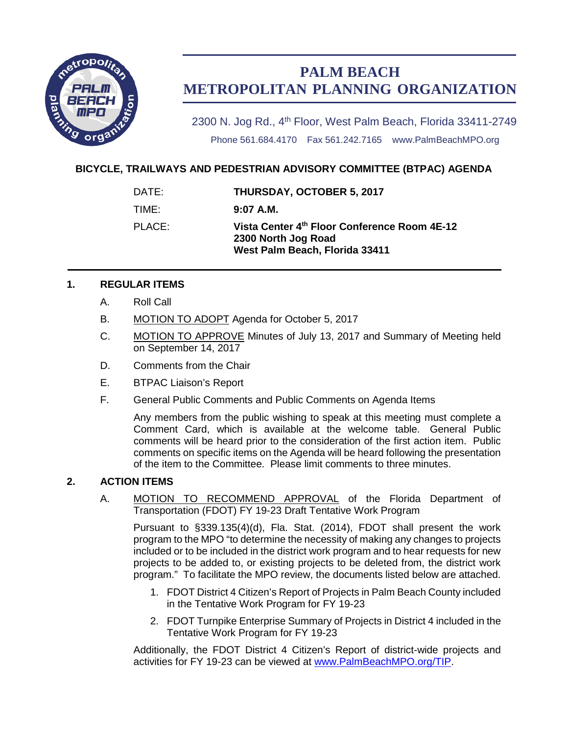

# **PALM BEACH METROPOLITAN PLANNING ORGANIZATION**

2300 N. Jog Rd., 4<sup>th</sup> Floor, West Palm Beach, Florida 33411-2749 Phone 561.684.4170 Fax 561.242.7165 www.PalmBeachMPO.org

## **BICYCLE, TRAILWAYS AND PEDESTRIAN ADVISORY COMMITTEE (BTPAC) AGENDA**

| DATE:  | <b>THURSDAY, OCTOBER 5, 2017</b>                                                                      |
|--------|-------------------------------------------------------------------------------------------------------|
| TIME:  | $9:07$ A.M.                                                                                           |
| PLACE: | Vista Center 4th Floor Conference Room 4E-12<br>2300 North Jog Road<br>West Palm Beach, Florida 33411 |

### **1. REGULAR ITEMS**

- A. Roll Call
- B. MOTION TO ADOPT Agenda for October 5, 2017
- C. MOTION TO APPROVE Minutes of July 13, 2017 and Summary of Meeting held on September 14, 2017
- D. Comments from the Chair
- E. BTPAC Liaison's Report
- F. General Public Comments and Public Comments on Agenda Items

Any members from the public wishing to speak at this meeting must complete a Comment Card, which is available at the welcome table. General Public comments will be heard prior to the consideration of the first action item. Public comments on specific items on the Agenda will be heard following the presentation of the item to the Committee. Please limit comments to three minutes.

### **2. ACTION ITEMS**

A. MOTION TO RECOMMEND APPROVAL of the Florida Department of Transportation (FDOT) FY 19-23 Draft Tentative Work Program

Pursuant to §339.135(4)(d), Fla. Stat. (2014), FDOT shall present the work program to the MPO "to determine the necessity of making any changes to projects included or to be included in the district work program and to hear requests for new projects to be added to, or existing projects to be deleted from, the district work program." To facilitate the MPO review, the documents listed below are attached.

- 1. FDOT District 4 Citizen's Report of Projects in Palm Beach County included in the Tentative Work Program for FY 19-23
- 2. FDOT Turnpike Enterprise Summary of Projects in District 4 included in the Tentative Work Program for FY 19-23

Additionally, the FDOT District 4 Citizen's Report of district-wide projects and activities for FY 19-23 can be viewed at [www.PalmBeachMPO.org/TIP.](http://www.palmbeachmpo.org/TIP)